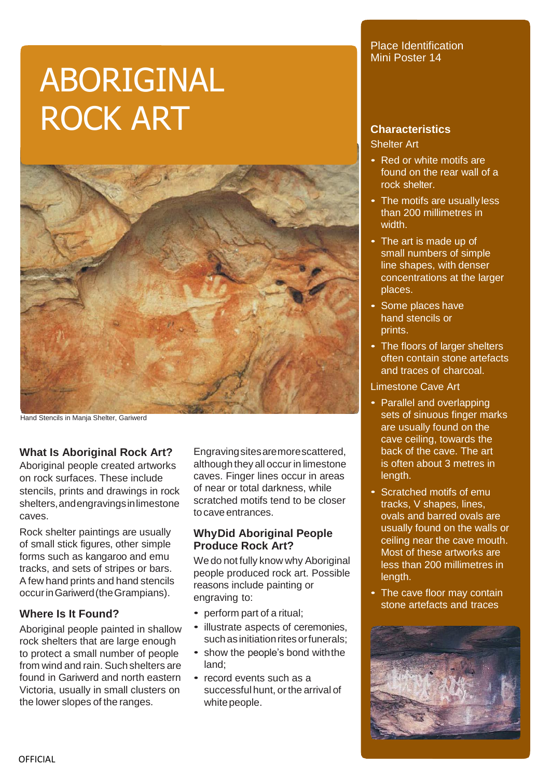# ABORIGINAL ROCK ART



Hand Stencils in Manja Shelter, Gariwerd

#### **What Is Aboriginal Rock Art?**

Aboriginal people created artworks on rock surfaces. These include stencils, prints and drawings in rock shelters,andengravingsinlimestone caves.

Rock shelter paintings are usually of small stick figures, other simple forms such as kangaroo and emu tracks, and sets of stripes or bars. A few hand prints and hand stencils occurinGariwerd(theGrampians).

## **Where Is It Found?**

Aboriginal people painted in shallow rock shelters that are large enough to protect a small number of people from wind and rain. Suchshelters are found in Gariwerd and north eastern Victoria, usually in small clusters on the lower slopes of the ranges.

Engravingsitesaremorescattered, although they all occur in limestone caves. Finger lines occur in areas of near or total darkness, while scratched motifs tend to be closer tocave entrances.

### **WhyDid Aboriginal People Produce Rock Art?**

We do not fully know why Aboriginal people produced rock art. Possible reasons include painting or engraving to:

- perform part of a ritual;
- illustrate aspects of ceremonies, such as initiation rites or funerals:
- show the people's bond withthe land;
- record events such as a successful hunt, or the arrival of white people.

### Place Identification Mini Poster 14

## **Characteristics**

Shelter Art

- Red or white motifs are found on the rear wall of a rock shelter.
- The motifs are usually less than 200 millimetres in width.
- The art is made up of small numbers of simple line shapes, with denser concentrations at the larger places.
- Some places have hand stencils or prints.
- The floors of larger shelters often contain stone artefacts and traces of charcoal.

Limestone Cave Art

- Parallel and overlapping sets of sinuous finger marks are usually found on the cave ceiling, towards the back of the cave. The art is often about 3 metres in length.
- Scratched motifs of emu tracks, V shapes, lines, ovals and barred ovals are usually found on the walls or ceiling near the cave mouth. Most of these artworks are less than 200 millimetres in length.
- The cave floor may contain stone artefacts and traces